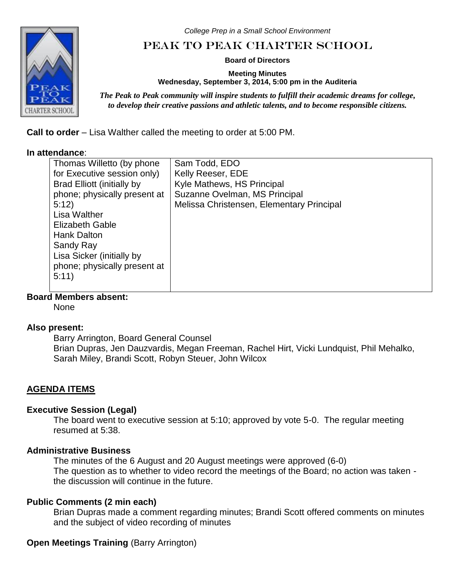*College Prep in a Small School Environment*

# Peak to Peak Charter School

**Board of Directors**

**Meeting Minutes Wednesday, September 3, 2014, 5:00 pm in the Auditeria**

*The Peak to Peak community will inspire students to fulfill their academic dreams for college, to develop their creative passions and athletic talents, and to become responsible citizens.*

**Call to order** – Lisa Walther called the meeting to order at 5:00 PM.

#### **In attendance**:

| Thomas Willetto (by phone    | Sam Todd, EDO                             |
|------------------------------|-------------------------------------------|
| for Executive session only)  | Kelly Reeser, EDE                         |
| Brad Elliott (initially by   | Kyle Mathews, HS Principal                |
| phone; physically present at | Suzanne Ovelman, MS Principal             |
| 5:12                         | Melissa Christensen, Elementary Principal |
| Lisa Walther                 |                                           |
| <b>Elizabeth Gable</b>       |                                           |
| Hank Dalton                  |                                           |
| Sandy Ray                    |                                           |
| Lisa Sicker (initially by    |                                           |
| phone; physically present at |                                           |
| 5:11)                        |                                           |
|                              |                                           |
|                              |                                           |

**Board Members absent:**

None

### **Also present:**

Barry Arrington, Board General Counsel Brian Dupras, Jen Dauzvardis, Megan Freeman, Rachel Hirt, Vicki Lundquist, Phil Mehalko, Sarah Miley, Brandi Scott, Robyn Steuer, John Wilcox

## **AGENDA ITEMS**

### **Executive Session (Legal)**

The board went to executive session at 5:10; approved by vote 5-0. The regular meeting resumed at 5:38.

### **Administrative Business**

The minutes of the 6 August and 20 August meetings were approved (6-0) The question as to whether to video record the meetings of the Board; no action was taken the discussion will continue in the future.

## **Public Comments (2 min each)**

Brian Dupras made a comment regarding minutes; Brandi Scott offered comments on minutes and the subject of video recording of minutes

## **Open Meetings Training** (Barry Arrington)